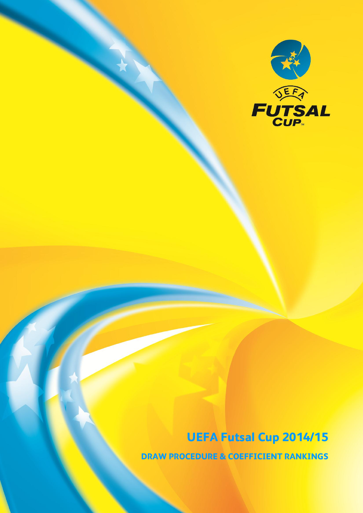

UEFA Futsal Cup 2014/15 DRAW PROCEDURE & COEFFICIENT RANKINGS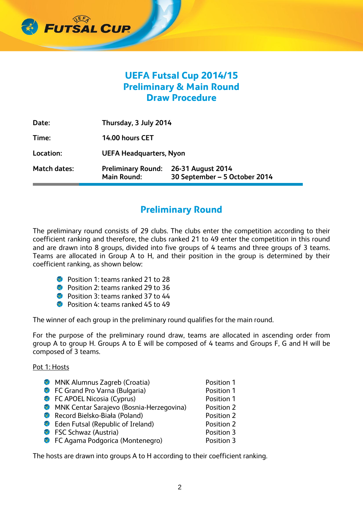

# UEFA Futsal Cup 2014/15 Preliminary & Main Round Draw Procedure

| <b>Match dates:</b> | <b>Preliminary Round:</b><br><b>Main Round:</b> | 26-31 August 2014<br>30 September - 5 October 2014 |  |
|---------------------|-------------------------------------------------|----------------------------------------------------|--|
| Location:           | <b>UEFA Headquarters, Nyon</b>                  |                                                    |  |
| Time:               | 14.00 hours CET                                 |                                                    |  |
| Date:               | Thursday, 3 July 2014                           |                                                    |  |

### Preliminary Round

The preliminary round consists of 29 clubs. The clubs enter the competition according to their coefficient ranking and therefore, the clubs ranked 21 to 49 enter the competition in this round and are drawn into 8 groups, divided into five groups of 4 teams and three groups of 3 teams. Teams are allocated in Group A to H, and their position in the group is determined by their coefficient ranking, as shown below:

- Position 1: teams ranked 21 to 28
- Position 2: teams ranked 29 to 36
- Position 3: teams ranked 37 to 44
- Position 4: teams ranked 45 to 49

The winner of each group in the preliminary round qualifies for the main round.

For the purpose of the preliminary round draw, teams are allocated in ascending order from group A to group H. Groups A to E will be composed of 4 teams and Groups F, G and H will be composed of 3 teams.

Pot 1: Hosts

- **MNK Alumnus Zagreb (Croatia)** Position 1
- **C** FC Grand Pro Varna (Bulgaria) Position 1
- **C** FC APOEL Nicosia (Cyprus) Position 1
- MNK Centar Sarajevo (Bosnia-Herzegovina) Position 2
- **Record Bielsko-Biała (Poland)** Position 2
- **C** Eden Futsal (Republic of Ireland) Position 2
- **C** FSC Schwaz (Austria) Position 3
- **C** FC Agama Podgorica (Montenegro) Position 3

The hosts are drawn into groups A to H according to their coefficient ranking.

- 
- 
- 
- 
- 
- 
-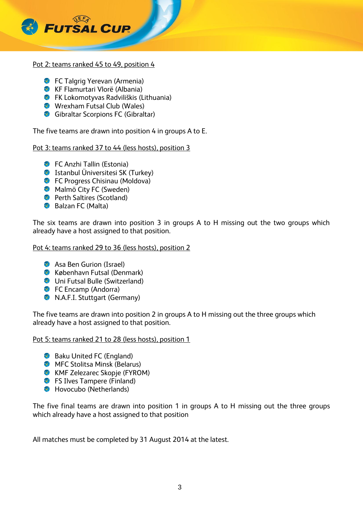

#### Pot 2: teams ranked 45 to 49, position 4

- **FC Talgrig Yerevan (Armenia)**
- KF Flamurtari Vlorë (Albania)
- FK Lokomotyvas Radviliškis (Lithuania)
- Wrexham Futsal Club (Wales)
- Gibraltar Scorpions FC (Gibraltar)

The five teams are drawn into position 4 in groups A to E.

Pot 3: teams ranked 37 to 44 (less hosts), position 3

- **C** FC Anzhi Tallin (Estonia)
- **Istanbul Üniversitesi SK (Turkey)**
- **C** FC Progress Chisinau (Moldova)
- **Malmö City FC (Sweden)**
- **Perth Saltires (Scotland)**
- Balzan FC (Malta)

The six teams are drawn into position 3 in groups A to H missing out the two groups which already have a host assigned to that position.

Pot 4: teams ranked 29 to 36 (less hosts), position 2

- **Asa Ben Gurion (Israel)**
- **København Futsal (Denmark)**
- **Uni Futsal Bulle (Switzerland)**
- **FC Encamp (Andorra)**
- **N.A.F.I. Stuttgart (Germany)**

The five teams are drawn into position 2 in groups A to H missing out the three groups which already have a host assigned to that position.

Pot 5: teams ranked 21 to 28 (less hosts), position 1

- Baku United FC (England)
- **MFC Stolitsa Minsk (Belarus)**
- **KMF Zelezarec Skopje (FYROM)**
- **S** FS Ilves Tampere (Finland)
- Hovocubo (Netherlands)

The five final teams are drawn into position 1 in groups A to H missing out the three groups which already have a host assigned to that position

All matches must be completed by 31 August 2014 at the latest.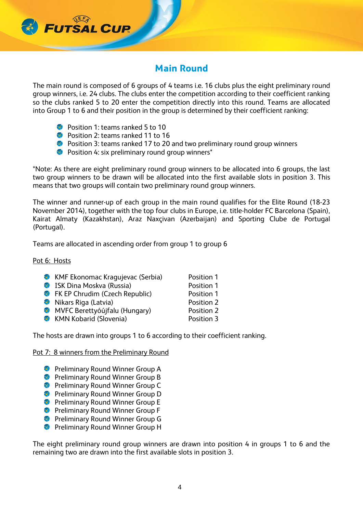# Main Round

The main round is composed of 6 groups of 4 teams i.e. 16 clubs plus the eight preliminary round group winners, i.e. 24 clubs. The clubs enter the competition according to their coefficient ranking so the clubs ranked 5 to 20 enter the competition directly into this round. Teams are allocated into Group 1 to 6 and their position in the group is determined by their coefficient ranking:

Position 1: teams ranked 5 to 10

**FUTSAL CUR** 

- Position 2: teams ranked 11 to 16
- **C** Position 3: teams ranked 17 to 20 and two preliminary round group winners
- **C** Position 4: six preliminary round group winners\*

\*Note: As there are eight preliminary round group winners to be allocated into 6 groups, the last two group winners to be drawn will be allocated into the first available slots in position 3. This means that two groups will contain two preliminary round group winners.

The winner and runner-up of each group in the main round qualifies for the Elite Round (18-23 November 2014), together with the top four clubs in Europe, i.e. title-holder FC Barcelona (Spain), Kairat Almaty (Kazakhstan), Araz Naxçivan (Azerbaijan) and Sporting Clube de Portugal (Portugal).

Teams are allocated in ascending order from group 1 to group 6

Pot 6: Hosts

| <b>C</b> KMF Ekonomac Kragujevac (Serbia) | Position 1 |
|-------------------------------------------|------------|
| ISK Dina Moskva (Russia)                  | Position 1 |
| <b>C</b> FK EP Chrudim (Czech Republic)   | Position 1 |
| Nikars Riga (Latvia)                      | Position 2 |
| MVFC Berettyóújfalu (Hungary)             | Position 2 |
| <b>KMN Kobarid (Slovenia)</b>             | Position 3 |
|                                           |            |

The hosts are drawn into groups 1 to 6 according to their coefficient ranking.

Pot 7: 8 winners from the Preliminary Round

- **Preliminary Round Winner Group A**
- **Preliminary Round Winner Group B**
- **Preliminary Round Winner Group C**
- **Preliminary Round Winner Group D**
- **Preliminary Round Winner Group E**
- **Preliminary Round Winner Group F**
- **Preliminary Round Winner Group G**
- **Preliminary Round Winner Group H**

The eight preliminary round group winners are drawn into position 4 in groups 1 to 6 and the remaining two are drawn into the first available slots in position 3.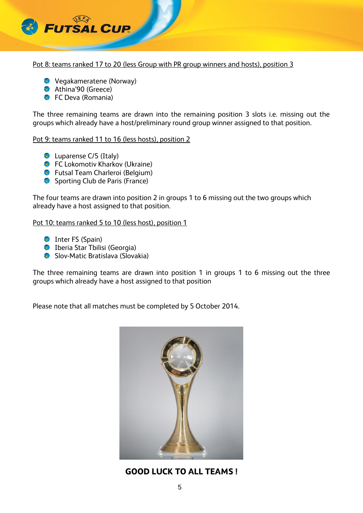

Pot 8: teams ranked 17 to 20 (less Group with PR group winners and hosts), position 3

- Vegakameratene (Norway)
- **Athina'90 (Greece)**
- **C** FC Deva (Romania)

The three remaining teams are drawn into the remaining position 3 slots i.e. missing out the groups which already have a host/preliminary round group winner assigned to that position.

### Pot 9: teams ranked 11 to 16 (less hosts), position 2

- **C** Luparense C/5 (Italy)
- **C** FC Lokomotiv Kharkov (Ukraine)
- **C** Futsal Team Charleroi (Belgium)
- Sporting Club de Paris (France)

The four teams are drawn into position 2 in groups 1 to 6 missing out the two groups which already have a host assigned to that position.

Pot 10: teams ranked 5 to 10 (less host), position 1

- **Inter FS (Spain)**
- Iberia Star Tbilisi (Georgia)
- **Slov-Matic Bratislava (Slovakia)**

The three remaining teams are drawn into position 1 in groups 1 to 6 missing out the three groups which already have a host assigned to that position

Please note that all matches must be completed by 5 October 2014.



GOOD LUCK TO ALL TEAMS !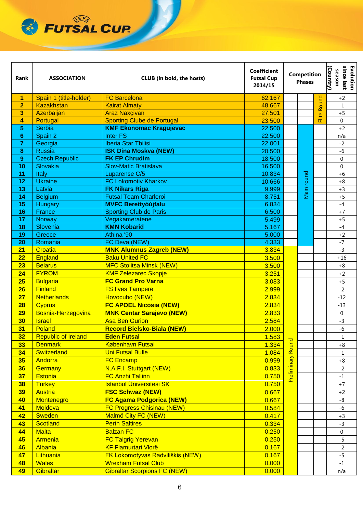

| Rank            | <b>ASSOCIATION</b>                | <b>Coefficient</b><br><b>Futsal Cup</b><br><b>CLUB</b> (in bold, the hosts)<br>2014/15 |                | <b>Competition</b><br><b>Phases</b> |                   | since last<br>Evolution<br>(Country)<br>season |                  |
|-----------------|-----------------------------------|----------------------------------------------------------------------------------------|----------------|-------------------------------------|-------------------|------------------------------------------------|------------------|
| $\overline{1}$  | Spain 1 (title-holder)            | <b>FC Barcelona</b>                                                                    | 62.167         |                                     |                   | <b>Round</b>                                   | $+2$             |
| $\overline{2}$  | <b>Kazakhstan</b>                 | <b>Kairat Almaty</b>                                                                   | 48.667         |                                     |                   |                                                | $-1$             |
| 3               | Azerbaijan                        | <b>Araz Naxçivan</b>                                                                   | 27.501         |                                     |                   | Elite                                          | $+5$             |
| 4               | Portugal                          | <b>Sporting Clube de Portugal</b>                                                      | 23.500         |                                     |                   |                                                | $\mathbf 0$      |
| 5               | <b>Serbia</b>                     | <b>KMF Ekonomac Kragujevac</b>                                                         | 22.500         |                                     |                   |                                                | $+2$             |
| $6\phantom{1}6$ | Spain 2                           | <b>Inter FS</b>                                                                        | 22.500         |                                     |                   |                                                | n/a              |
| 7               | Georgia                           | <b>Iberia Star Tbilisi</b>                                                             | 22.001         |                                     |                   |                                                | $-2$             |
| 8               | <b>Russia</b>                     | <b>ISK Dina Moskva (NEW)</b>                                                           | 20.500         |                                     |                   |                                                | $-6$             |
| 9               | <b>Czech Republic</b>             | <b>FK EP Chrudim</b>                                                                   | 18.500         |                                     |                   |                                                | $\mathbf 0$      |
| 10              | Slovakia                          | <b>Slov-Matic Bratislava</b>                                                           | 16.500         |                                     |                   |                                                | $\mathbf 0$      |
| 11              | Italy                             | Luparense C/5                                                                          | 10.834         |                                     | round             |                                                | $+6$             |
| 12              | <b>Ukraine</b>                    | <b>FC Lokomotiv Kharkov</b>                                                            | 10.666         |                                     |                   |                                                | $+8$             |
| 13              | Latvia                            | <b>FK Nikars Riga</b>                                                                  | 9.999          |                                     | Main <sub>I</sub> |                                                | $+3$             |
| 14              | <b>Belgium</b>                    | <b>Futsal Team Charleroi</b>                                                           | 8.751          |                                     |                   |                                                | $+5$             |
| 15              | Hungary                           | <b>MVFC Berettyóújfalu</b>                                                             | 6.834          |                                     |                   |                                                | $-4$             |
| 16<br>17        | France                            | <b>Sporting Club de Paris</b>                                                          | 6.500          |                                     |                   |                                                | $+7$             |
|                 | Norway                            | Vegakameratene<br><b>KMN Kobarid</b>                                                   | 5.499          |                                     |                   |                                                | $+5$<br>$-4$     |
| 18              | Slovenia                          | Athina '90                                                                             | 5.167          |                                     |                   |                                                |                  |
| 19<br>20        | Greece                            | FC Deva (NEW)                                                                          | 5.000<br>4.333 |                                     |                   |                                                | $+2$<br>$-7$     |
| 21              | Romania<br>Croatia                | <b>MNK Alumnus Zagreb (NEW)</b>                                                        | 3.834          | Round<br>Preliminary                |                   |                                                | $-3$             |
| 22              | England                           | <b>Baku United FC</b>                                                                  | 3.500          |                                     |                   |                                                | $+16$            |
| 23              | <b>Belarus</b>                    | <b>MFC Stolitsa Minsk (NEW)</b>                                                        | 3.500          |                                     |                   |                                                | $+8$             |
| 24              | <b>FYROM</b>                      | <b>KMF Zelezarec Skopje</b>                                                            | 3.251          |                                     |                   |                                                | $+2$             |
| 25              |                                   | <b>FC Grand Pro Varna</b>                                                              |                |                                     |                   |                                                | $+5$             |
| 26              | <b>Bulgaria</b><br><b>Finland</b> |                                                                                        | 3.083<br>2.999 |                                     |                   |                                                | $-2$             |
|                 | <b>Netherlands</b>                | <b>FS Ilves Tampere</b>                                                                |                |                                     |                   |                                                |                  |
| 27              |                                   | Hovocubo (NEW)<br><b>FC APOEL Nicosia (NEW)</b>                                        | 2.834          |                                     |                   |                                                | $-12$            |
| 28              | <b>Cyprus</b>                     |                                                                                        | 2.834          |                                     |                   |                                                | $-13$            |
| 29              | Bosnia-Herzegovina                | <b>MNK Centar Sarajevo (NEW)</b>                                                       | 2.833          |                                     |                   |                                                | $\mathbf 0$      |
| 30              | <b>Israel</b>                     | <b>Asa Ben Gurion</b>                                                                  | 2.584          |                                     |                   |                                                | $-3$             |
| 31              | Poland                            | <b>Record Bielsko-Biała (NEW)</b>                                                      | 2.000          |                                     |                   |                                                | $-6$             |
| 32              | <b>Republic of Ireland</b>        | <b>Eden Futsal</b>                                                                     | 1.583          |                                     |                   |                                                | -1               |
| 33              | <b>Denmark</b>                    | <b>København Futsal</b>                                                                | 1.334          |                                     |                   |                                                | $+8$             |
| 34              | <b>Switzerland</b>                | <b>Uni Futsal Bulle</b>                                                                | 1.084          |                                     |                   |                                                | $\text{-}1$      |
| 35              | Andorra                           | <b>FC Encamp</b>                                                                       | 0.999          |                                     |                   |                                                | $+8$             |
| 36              | Germany                           | N.A.F.I. Stuttgart (NEW)                                                               | 0.833          |                                     |                   |                                                | $-2$             |
| 37              | <b>Estonia</b>                    | <b>FC Anzhi Tallinn</b>                                                                | 0.750          |                                     |                   |                                                | $-1$             |
| 38              | <b>Turkey</b>                     | <b>Istanbul Üniversitesi SK</b>                                                        | 0.750          |                                     |                   |                                                | $+7$             |
| 39              | <b>Austria</b>                    | <b>FSC Schwaz (NEW)</b>                                                                | 0.667          |                                     |                   |                                                | $+2$             |
| 40              | Montenegro                        | <b>FC Agama Podgorica (NEW)</b>                                                        | 0.667          |                                     |                   |                                                | -8               |
| 41              | Moldova                           | <b>FC Progress Chisinau (NEW)</b>                                                      | 0.584          |                                     |                   |                                                | $-6$             |
| 42              | <b>Sweden</b>                     | Malmö City FC (NEW)                                                                    | 0.417          |                                     |                   |                                                | $+3$             |
| 43              | <b>Scotland</b>                   | <b>Perth Saltires</b>                                                                  | 0.334          |                                     |                   |                                                | $-3$             |
| 44              | <b>Malta</b>                      | <b>Balzan FC</b>                                                                       | 0.250          |                                     |                   |                                                | $\boldsymbol{0}$ |
| 45              | Armenia                           | <b>FC Talgrig Yerevan</b>                                                              | 0.250          |                                     |                   |                                                | $-5$             |
| 46              | Albania                           | <b>KF Flamurtari Vlorë</b>                                                             | 0.167          |                                     |                   |                                                | $-2$             |
| 47              | Lithuania                         | FK Lokomotyvas Radviliškis (NEW)                                                       | 0.167          |                                     |                   |                                                | $-5$             |
| 48              | <b>Wales</b>                      | <b>Wrexham Futsal Club</b>                                                             | 0.000          |                                     |                   |                                                | $-1$             |
| 49              | Gibraltar                         | <b>Gibraltar Scorpions FC (NEW)</b>                                                    | 0.000          |                                     |                   |                                                | n/a              |